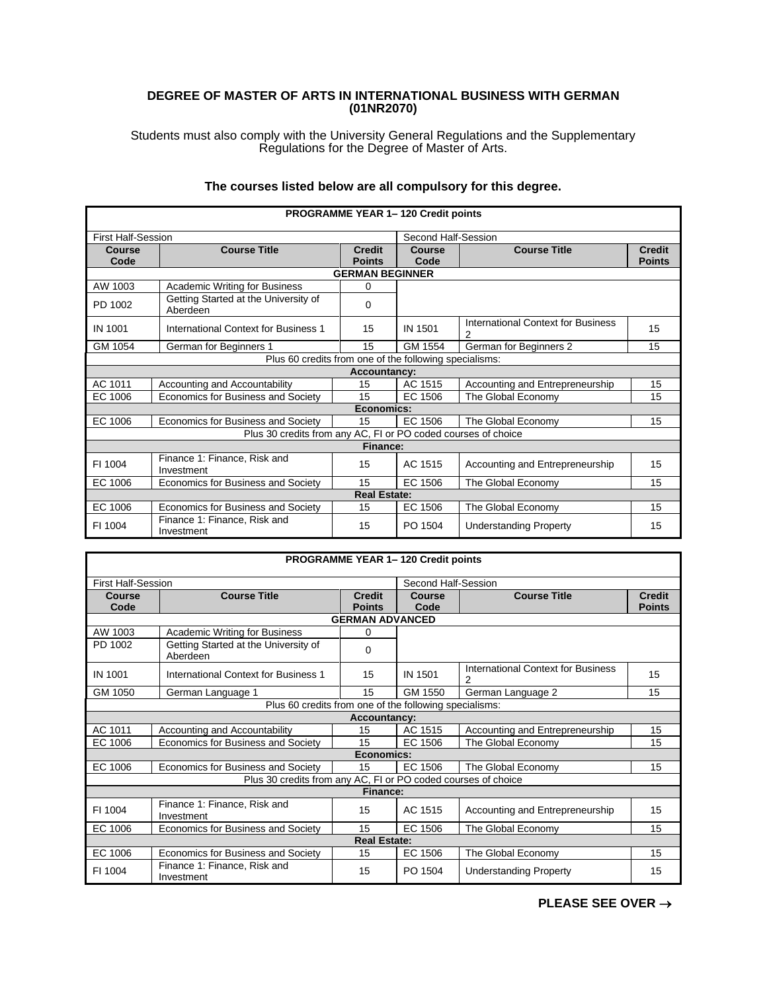## **DEGREE OF MASTER OF ARTS IN INTERNATIONAL BUSINESS WITH GERMAN (01NR2070)**

Students must also comply with the University General Regulations and the Supplementary Regulations for the Degree of Master of Arts.

| <b>PROGRAMME YEAR 1-120 Credit points</b> |                                                               |                                |                     |                                         |                                |  |
|-------------------------------------------|---------------------------------------------------------------|--------------------------------|---------------------|-----------------------------------------|--------------------------------|--|
| <b>First Half-Session</b>                 |                                                               |                                | Second Half-Session |                                         |                                |  |
| Course<br>Code                            | <b>Course Title</b>                                           | <b>Credit</b><br><b>Points</b> | Course<br>Code      | <b>Course Title</b>                     | <b>Credit</b><br><b>Points</b> |  |
|                                           |                                                               | <b>GERMAN BEGINNER</b>         |                     |                                         |                                |  |
| AW 1003                                   | <b>Academic Writing for Business</b>                          | 0                              |                     |                                         |                                |  |
| PD 1002                                   | Getting Started at the University of<br>Aberdeen              | 0                              |                     |                                         |                                |  |
| IN 1001                                   | International Context for Business 1                          | 15                             | IN 1501             | International Context for Business<br>2 | 15                             |  |
| GM 1054                                   | German for Beginners 1                                        | 15                             | GM 1554             | German for Beginners 2                  | 15                             |  |
|                                           | Plus 60 credits from one of the following specialisms:        |                                |                     |                                         |                                |  |
| <b>Accountancy:</b>                       |                                                               |                                |                     |                                         |                                |  |
| AC 1011                                   | Accounting and Accountability                                 | 15                             | AC 1515             | Accounting and Entrepreneurship         | 15                             |  |
| EC 1006                                   | Economics for Business and Society                            | 15                             | EC 1506             | The Global Economy                      | 15                             |  |
| Economics:                                |                                                               |                                |                     |                                         |                                |  |
| EC 1006                                   | Economics for Business and Society                            | 15                             | EC 1506             | The Global Economy                      | 15                             |  |
|                                           | Plus 30 credits from any AC, FI or PO coded courses of choice |                                |                     |                                         |                                |  |
| Finance:                                  |                                                               |                                |                     |                                         |                                |  |
| FI 1004                                   | Finance 1: Finance, Risk and<br>Investment                    | 15                             | AC 1515             | Accounting and Entrepreneurship         | 15                             |  |
| EC 1006                                   | Economics for Business and Society                            | 15                             | EC 1506             | The Global Economy                      | 15                             |  |
| <b>Real Estate:</b>                       |                                                               |                                |                     |                                         |                                |  |
| EC 1006                                   | Economics for Business and Society                            | 15                             | EC 1506             | The Global Economy                      | 15                             |  |
| FI 1004                                   | Finance 1: Finance, Risk and<br>Investment                    | 15                             | PO 1504             | <b>Understanding Property</b>           | 15                             |  |

## **The courses listed below are all compulsory for this degree.**

|                           |                                                               | <b>PROGRAMME YEAR 1-120 Credit points</b> |                       |                                                             |                                |
|---------------------------|---------------------------------------------------------------|-------------------------------------------|-----------------------|-------------------------------------------------------------|--------------------------------|
| <b>First Half-Session</b> |                                                               |                                           | Second Half-Session   |                                                             |                                |
| Course<br>Code            | <b>Course Title</b>                                           | <b>Credit</b><br><b>Points</b>            | <b>Course</b><br>Code | <b>Course Title</b>                                         | <b>Credit</b><br><b>Points</b> |
|                           |                                                               | <b>GERMAN ADVANCED</b>                    |                       |                                                             |                                |
| AW 1003                   | <b>Academic Writing for Business</b>                          | 0                                         |                       |                                                             |                                |
| PD 1002                   | Getting Started at the University of<br>Aberdeen              | 0                                         |                       |                                                             |                                |
| IN 1001                   | International Context for Business 1                          | 15                                        | IN 1501               | <b>International Context for Business</b><br>$\overline{2}$ | 15                             |
| GM 1050                   | German Language 1                                             | 15                                        | GM 1550               | German Language 2                                           | 15                             |
|                           | Plus 60 credits from one of the following specialisms:        |                                           |                       |                                                             |                                |
|                           |                                                               | <b>Accountancy:</b>                       |                       |                                                             |                                |
| AC 1011                   | Accounting and Accountability                                 | 15                                        | AC 1515               | Accounting and Entrepreneurship                             | 15                             |
| EC 1006                   | Economics for Business and Society                            | 15                                        | EC 1506               | The Global Economy                                          | 15                             |
|                           |                                                               | Economics:                                |                       |                                                             |                                |
| EC 1006                   | Economics for Business and Society                            | 15                                        | EC 1506               | The Global Economy                                          | 15                             |
|                           | Plus 30 credits from any AC, FI or PO coded courses of choice |                                           |                       |                                                             |                                |
|                           |                                                               | Finance:                                  |                       |                                                             |                                |
| FI 1004                   | Finance 1: Finance, Risk and<br>Investment                    | 15                                        | AC 1515               | Accounting and Entrepreneurship                             | 15                             |
| EC 1006                   | Economics for Business and Society                            | 15                                        | EC 1506               | The Global Economy                                          | 15                             |
|                           |                                                               | <b>Real Estate:</b>                       |                       |                                                             |                                |
| EC 1006                   | Economics for Business and Society                            | 15                                        | EC 1506               | The Global Economy                                          | 15                             |
| FI 1004                   | Finance 1: Finance, Risk and<br>Investment                    | 15                                        | PO 1504               | <b>Understanding Property</b>                               | 15                             |

**PLEASE SEE OVER** →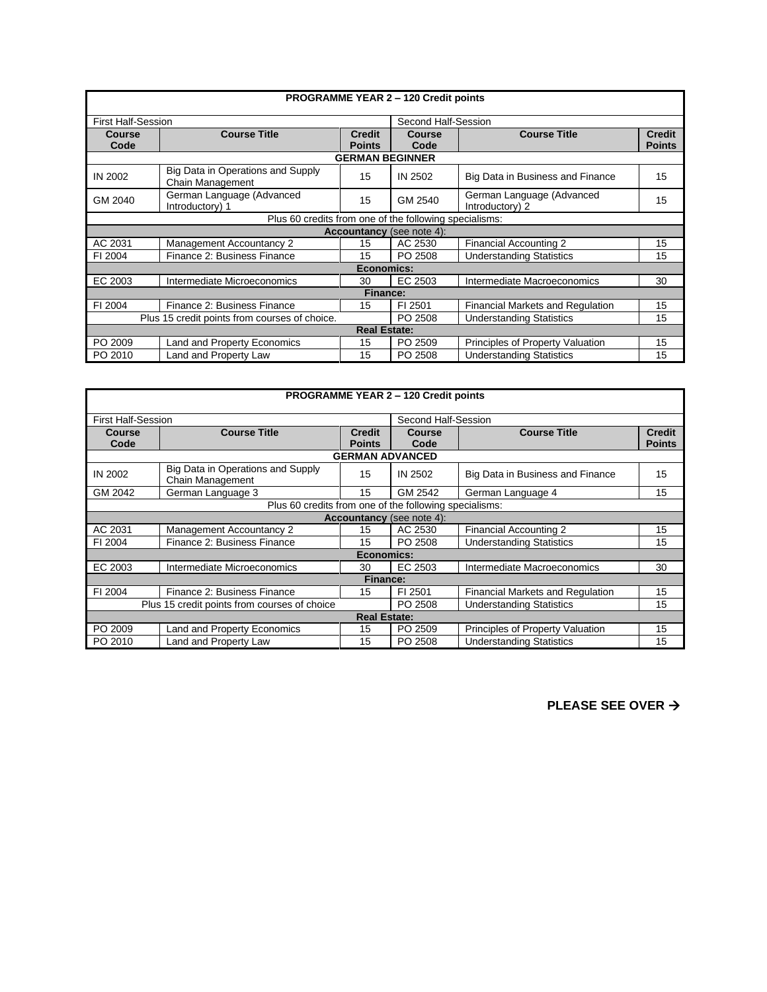| <b>PROGRAMME YEAR 2 - 120 Credit points</b>   |                                                        |                                |                                  |                                              |                                |  |
|-----------------------------------------------|--------------------------------------------------------|--------------------------------|----------------------------------|----------------------------------------------|--------------------------------|--|
| <b>First Half-Session</b>                     |                                                        |                                | Second Half-Session              |                                              |                                |  |
| Course<br>Code                                | <b>Course Title</b>                                    | <b>Credit</b><br><b>Points</b> | Course<br>Code                   | <b>Course Title</b>                          | <b>Credit</b><br><b>Points</b> |  |
|                                               |                                                        | <b>GERMAN BEGINNER</b>         |                                  |                                              |                                |  |
| IN 2002                                       | Big Data in Operations and Supply<br>Chain Management  | 15                             | IN 2502                          | Big Data in Business and Finance             | 15                             |  |
| GM 2040                                       | German Language (Advanced<br>Introductory) 1           | 15                             | GM 2540                          | German Language (Advanced<br>Introductory) 2 | 15                             |  |
|                                               | Plus 60 credits from one of the following specialisms: |                                |                                  |                                              |                                |  |
|                                               |                                                        |                                | <b>Accountancy</b> (see note 4): |                                              |                                |  |
| AC 2031                                       | Management Accountancy 2                               | 15                             | AC 2530                          | <b>Financial Accounting 2</b>                | 15                             |  |
| FI 2004                                       | Finance 2: Business Finance                            | 15                             | PO 2508                          | <b>Understanding Statistics</b>              | 15                             |  |
| Economics:                                    |                                                        |                                |                                  |                                              |                                |  |
| EC 2003                                       | Intermediate Microeconomics                            | 30                             | EC 2503                          | Intermediate Macroeconomics                  | 30                             |  |
| Finance:                                      |                                                        |                                |                                  |                                              |                                |  |
| FI 2004                                       | Finance 2: Business Finance                            | 15                             | FI 2501                          | Financial Markets and Regulation             | 15                             |  |
| Plus 15 credit points from courses of choice. |                                                        |                                | PO 2508                          | <b>Understanding Statistics</b>              | 15                             |  |
| <b>Real Estate:</b>                           |                                                        |                                |                                  |                                              |                                |  |
| PO 2009                                       | <b>Land and Property Economics</b>                     | 15                             | PO 2509                          | Principles of Property Valuation             | 15                             |  |
| PO 2010                                       | Land and Property Law                                  | 15                             | PO 2508                          | <b>Understanding Statistics</b>              | 15                             |  |

| PROGRAMME YEAR 2 - 120 Credit points         |                                                        |                                |                     |                                  |                                |  |  |
|----------------------------------------------|--------------------------------------------------------|--------------------------------|---------------------|----------------------------------|--------------------------------|--|--|
| <b>First Half-Session</b>                    |                                                        |                                | Second Half-Session |                                  |                                |  |  |
| Course<br>Code                               | <b>Course Title</b>                                    | <b>Credit</b><br><b>Points</b> | Course<br>Code      | <b>Course Title</b>              | <b>Credit</b><br><b>Points</b> |  |  |
|                                              |                                                        | <b>GERMAN ADVANCED</b>         |                     |                                  |                                |  |  |
| IN 2002                                      | Big Data in Operations and Supply<br>Chain Management  | 15                             | IN 2502             | Big Data in Business and Finance | 15                             |  |  |
| GM 2042                                      | German Language 3                                      | 15                             | GM 2542             | German Language 4                | 15                             |  |  |
|                                              | Plus 60 credits from one of the following specialisms: |                                |                     |                                  |                                |  |  |
|                                              | <b>Accountancy</b> (see note 4):                       |                                |                     |                                  |                                |  |  |
| AC 2031                                      | Management Accountancy 2                               | 15                             | AC 2530             | Financial Accounting 2           | 15                             |  |  |
| FI 2004                                      | Finance 2: Business Finance                            | 15                             | PO 2508             | <b>Understanding Statistics</b>  | 15                             |  |  |
| Economics:                                   |                                                        |                                |                     |                                  |                                |  |  |
| EC 2003                                      | Intermediate Microeconomics                            | 30                             | EC 2503             | Intermediate Macroeconomics      | 30                             |  |  |
| <b>Finance:</b>                              |                                                        |                                |                     |                                  |                                |  |  |
| FI 2004                                      | Finance 2: Business Finance                            | 15                             | FI 2501             | Financial Markets and Regulation | 15                             |  |  |
| Plus 15 credit points from courses of choice |                                                        |                                | PO 2508             | <b>Understanding Statistics</b>  | 15                             |  |  |
| <b>Real Estate:</b>                          |                                                        |                                |                     |                                  |                                |  |  |
| PO 2009                                      | <b>Land and Property Economics</b>                     | 15                             | PO 2509             | Principles of Property Valuation | 15                             |  |  |
| PO 2010                                      | Land and Property Law                                  | 15                             | PO 2508             | <b>Understanding Statistics</b>  | 15                             |  |  |

**PLEASE SEE OVER** →